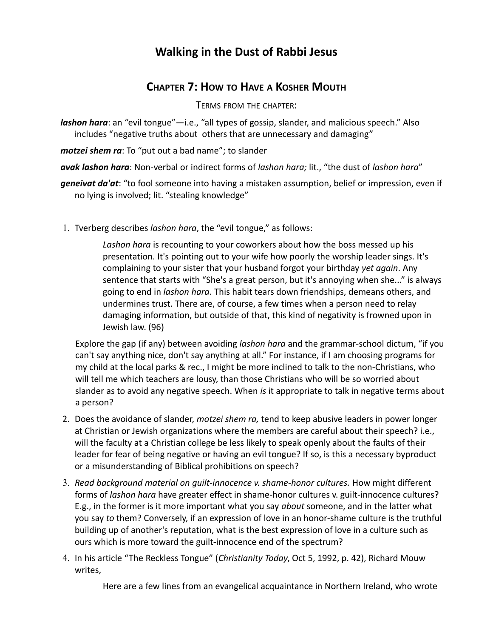## **Walking in the Dust of Rabbi Jesus**

## **CHAPTER 7: HOW TO HAVE A KOSHER MOUTH**

TERMS FROM THE CHAPTER:

*lashon hara*: an "evil tongue"—i.e., "all types of gossip, slander, and malicious speech." Also includes "negative truths about others that are unnecessary and damaging"

*motzei shem ra*: To "put out a bad name"; to slander

*avak lashon hara*: Non-verbal or indirect forms of *lashon hara;* lit., "the dust of *lashon hara*"

*geneivat da'at*: "to fool someone into having a mistaken assumption, belief or impression, even if no lying is involved; lit. "stealing knowledge"

1. Tverberg describes *lashon hara*, the "evil tongue," as follows:

*Lashon hara* is recounting to your coworkers about how the boss messed up his presentation. It's pointing out to your wife how poorly the worship leader sings. It's complaining to your sister that your husband forgot your birthday *yet again*. Any sentence that starts with "She's a great person, but it's annoying when she..." is always going to end in *lashon hara*. This habit tears down friendships, demeans others, and undermines trust. There are, of course, a few times when a person need to relay damaging information, but outside of that, this kind of negativity is frowned upon in Jewish law. (96)

Explore the gap (if any) between avoiding *lashon hara* and the grammar-school dictum, "if you can't say anything nice, don't say anything at all." For instance, if I am choosing programs for my child at the local parks & rec., I might be more inclined to talk to the non-Christians, who will tell me which teachers are lousy, than those Christians who will be so worried about slander as to avoid any negative speech. When *is* it appropriate to talk in negative terms about a person?

- 2. Does the avoidance of slander, *motzei shem ra,* tend to keep abusive leaders in power longer at Christian or Jewish organizations where the members are careful about their speech? i.e., will the faculty at a Christian college be less likely to speak openly about the faults of their leader for fear of being negative or having an evil tongue? If so, is this a necessary byproduct or a misunderstanding of Biblical prohibitions on speech?
- 3. *Read background material on guilt-innocence v. shame-honor cultures.* How might different forms of *lashon hara* have greater effect in shame-honor cultures v. guilt-innocence cultures? E.g., in the former is it more important what you say *about* someone, and in the latter what you say *to* them? Conversely, if an expression of love in an honor-shame culture is the truthful building up of another's reputation, what is the best expression of love in a culture such as ours which is more toward the guilt-innocence end of the spectrum?
- 4. In his article "The Reckless Tongue" (*Christianity Today*, Oct 5, 1992, p. 42), Richard Mouw writes,

Here are a few lines from an evangelical acquaintance in Northern Ireland, who wrote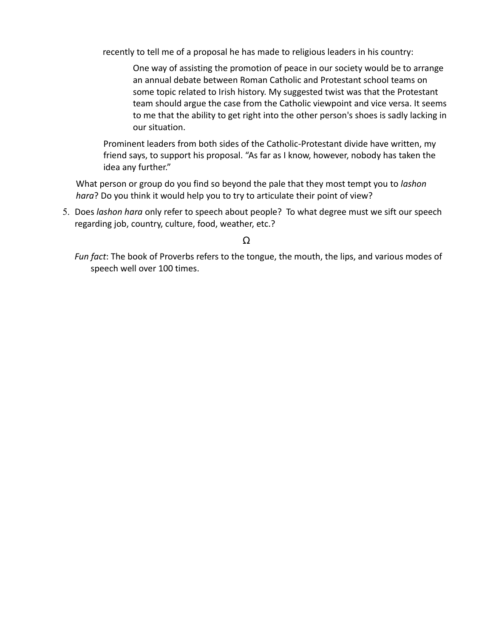recently to tell me of a proposal he has made to religious leaders in his country:

One way of assisting the promotion of peace in our society would be to arrange an annual debate between Roman Catholic and Protestant school teams on some topic related to Irish history. My suggested twist was that the Protestant team should argue the case from the Catholic viewpoint and vice versa. It seems to me that the ability to get right into the other person's shoes is sadly lacking in our situation.

Prominent leaders from both sides of the Catholic-Protestant divide have written, my friend says, to support his proposal. "As far as I know, however, nobody has taken the idea any further."

What person or group do you find so beyond the pale that they most tempt you to *lashon hara*? Do you think it would help you to try to articulate their point of view?

 5. Does *lashon hara* only refer to speech about people? To what degree must we sift our speech regarding job, country, culture, food, weather, etc.?

*Fun fact*: The book of Proverbs refers to the tongue, the mouth, the lips, and various modes of speech well over 100 times.

Ω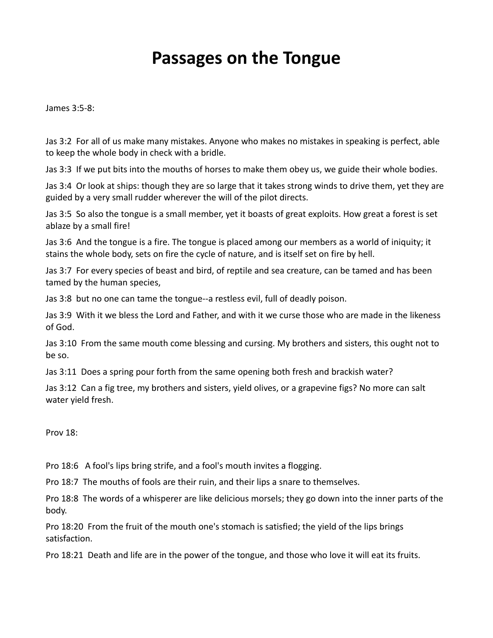## **Passages on the Tongue**

James 3:5-8:

Jas 3:2 For all of us make many mistakes. Anyone who makes no mistakes in speaking is perfect, able to keep the whole body in check with a bridle.

Jas 3:3 If we put bits into the mouths of horses to make them obey us, we guide their whole bodies.

Jas 3:4 Or look at ships: though they are so large that it takes strong winds to drive them, yet they are guided by a very small rudder wherever the will of the pilot directs.

Jas 3:5 So also the tongue is a small member, yet it boasts of great exploits. How great a forest is set ablaze by a small fire!

Jas 3:6 And the tongue is a fire. The tongue is placed among our members as a world of iniquity; it stains the whole body, sets on fire the cycle of nature, and is itself set on fire by hell.

Jas 3:7 For every species of beast and bird, of reptile and sea creature, can be tamed and has been tamed by the human species,

Jas 3:8 but no one can tame the tongue--a restless evil, full of deadly poison.

Jas 3:9 With it we bless the Lord and Father, and with it we curse those who are made in the likeness of God.

Jas 3:10 From the same mouth come blessing and cursing. My brothers and sisters, this ought not to be so.

Jas 3:11 Does a spring pour forth from the same opening both fresh and brackish water?

Jas 3:12 Can a fig tree, my brothers and sisters, yield olives, or a grapevine figs? No more can salt water yield fresh.

Prov 18:

Pro 18:6 A fool's lips bring strife, and a fool's mouth invites a flogging.

Pro 18:7 The mouths of fools are their ruin, and their lips a snare to themselves.

Pro 18:8 The words of a whisperer are like delicious morsels; they go down into the inner parts of the body.

Pro 18:20 From the fruit of the mouth one's stomach is satisfied; the yield of the lips brings satisfaction.

Pro 18:21 Death and life are in the power of the tongue, and those who love it will eat its fruits.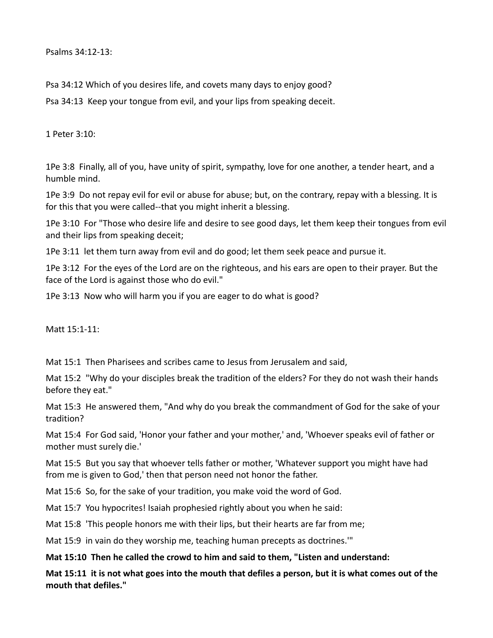Psalms 34:12-13:

Psa 34:12 Which of you desires life, and covets many days to enjoy good?

Psa 34:13 Keep your tongue from evil, and your lips from speaking deceit.

1 Peter 3:10:

1Pe 3:8 Finally, all of you, have unity of spirit, sympathy, love for one another, a tender heart, and a humble mind.

1Pe 3:9 Do not repay evil for evil or abuse for abuse; but, on the contrary, repay with a blessing. It is for this that you were called--that you might inherit a blessing.

1Pe 3:10 For "Those who desire life and desire to see good days, let them keep their tongues from evil and their lips from speaking deceit;

1Pe 3:11 let them turn away from evil and do good; let them seek peace and pursue it.

1Pe 3:12 For the eyes of the Lord are on the righteous, and his ears are open to their prayer. But the face of the Lord is against those who do evil."

1Pe 3:13 Now who will harm you if you are eager to do what is good?

Matt 15:1-11:

Mat 15:1 Then Pharisees and scribes came to Jesus from Jerusalem and said,

Mat 15:2 "Why do your disciples break the tradition of the elders? For they do not wash their hands before they eat."

Mat 15:3 He answered them, "And why do you break the commandment of God for the sake of your tradition?

Mat 15:4 For God said, 'Honor your father and your mother,' and, 'Whoever speaks evil of father or mother must surely die.'

Mat 15:5 But you say that whoever tells father or mother, 'Whatever support you might have had from me is given to God,' then that person need not honor the father.

Mat 15:6 So, for the sake of your tradition, you make void the word of God.

Mat 15:7 You hypocrites! Isaiah prophesied rightly about you when he said:

Mat 15:8 'This people honors me with their lips, but their hearts are far from me;

Mat 15:9 in vain do they worship me, teaching human precepts as doctrines."

**Mat 15:10 Then he called the crowd to him and said to them, "Listen and understand:** 

**Mat 15:11 it is not what goes into the mouth that defiles a person, but it is what comes out of the mouth that defiles."**